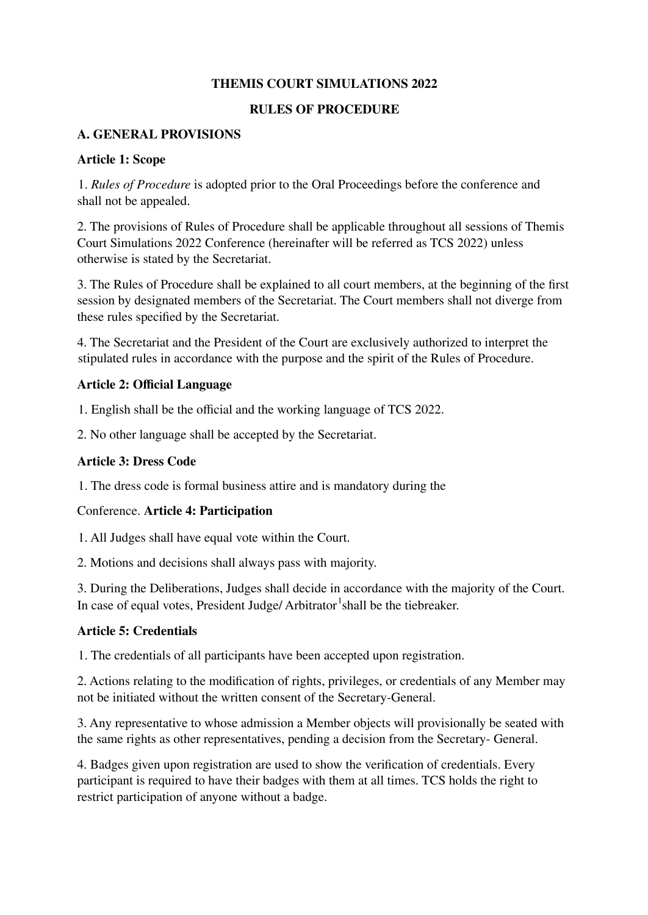## **THEMIS COURT SIMULATIONS 2022**

#### **RULES OF PROCEDURE**

#### **A. GENERAL PROVISIONS**

#### **Article 1: Scope**

1. *Rules of Procedure* is adopted prior to the Oral Proceedings before the conference and shall not be appealed.

2. The provisions of Rules of Procedure shall be applicable throughout all sessions of Themis Court Simulations 2022 Conference (hereinafter will be referred as TCS 2022) unless otherwise is stated by the Secretariat.

3. The Rules of Procedure shall be explained to all court members, at the beginning of the first session by designated members of the Secretariat. The Court members shall not diverge from these rules specified by the Secretariat.

4. The Secretariat and the President of the Court are exclusively authorized to interpret the stipulated rules in accordance with the purpose and the spirit of the Rules of Procedure.

#### **Article 2: Official Language**

1. English shall be the official and the working language of TCS 2022.

2. No other language shall be accepted by the Secretariat.

#### **Article 3: Dress Code**

1. The dress code is formal business attire and is mandatory during the

## Conference. **Article 4: Participation**

1. All Judges shall have equal vote within the Court.

2. Motions and decisions shall always pass with majority.

3. During the Deliberations, Judges shall decide in accordance with the majority of the Court. In case of equal votes, President Judge/ Arbitrator<sup>1</sup>shall be the tiebreaker.

## **Article 5: Credentials**

1. The credentials of all participants have been accepted upon registration.

2. Actions relating to the modification of rights, privileges, or credentials of any Member may not be initiated without the written consent of the Secretary-General.

3. Any representative to whose admission a Member objects will provisionally be seated with the same rights as other representatives, pending a decision from the Secretary- General.

4. Badges given upon registration are used to show the verification of credentials. Every participant is required to have their badges with them at all times. TCS holds the right to restrict participation of anyone without a badge.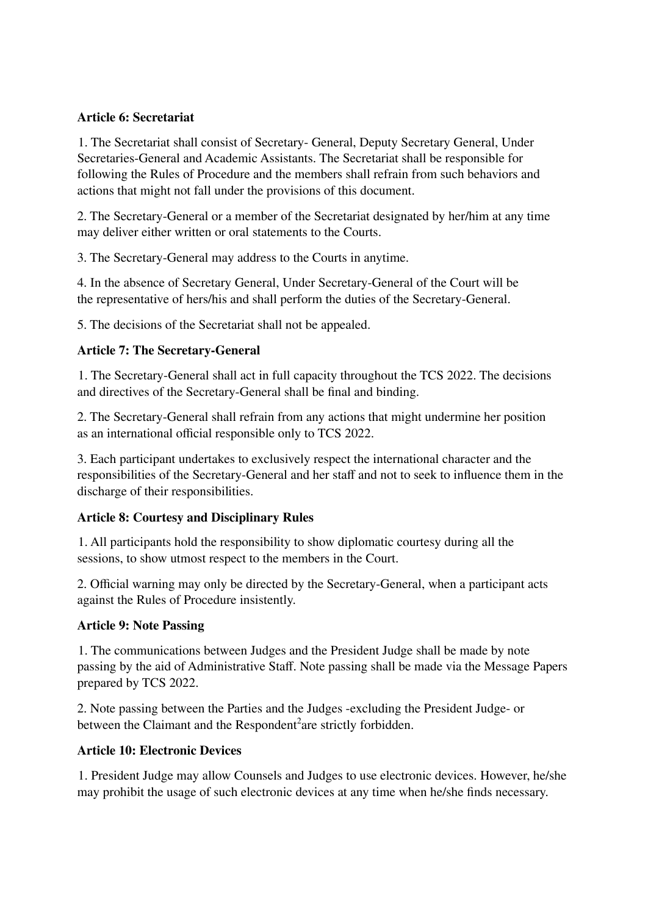## **Article 6: Secretariat**

1. The Secretariat shall consist of Secretary- General, Deputy Secretary General, Under Secretaries-General and Academic Assistants. The Secretariat shall be responsible for following the Rules of Procedure and the members shall refrain from such behaviors and actions that might not fall under the provisions of this document.

2. The Secretary-General or a member of the Secretariat designated by her/him at any time may deliver either written or oral statements to the Courts.

3. The Secretary-General may address to the Courts in anytime.

4. In the absence of Secretary General, Under Secretary-General of the Court will be the representative of hers/his and shall perform the duties of the Secretary-General.

5. The decisions of the Secretariat shall not be appealed.

# **Article 7: The Secretary-General**

1. The Secretary-General shall act in full capacity throughout the TCS 2022. The decisions and directives of the Secretary-General shall be final and binding.

2. The Secretary-General shall refrain from any actions that might undermine her position as an international official responsible only to TCS 2022.

3. Each participant undertakes to exclusively respect the international character and the responsibilities of the Secretary-General and her staff and not to seek to influence them in the discharge of their responsibilities.

## **Article 8: Courtesy and Disciplinary Rules**

1. All participants hold the responsibility to show diplomatic courtesy during all the sessions, to show utmost respect to the members in the Court.

2. Official warning may only be directed by the Secretary-General, when a participant acts against the Rules of Procedure insistently.

## **Article 9: Note Passing**

1. The communications between Judges and the President Judge shall be made by note passing by the aid of Administrative Staff. Note passing shall be made via the Message Papers prepared by TCS 2022.

2. Note passing between the Parties and the Judges -excluding the President Judge- or between the Claimant and the Respondent<sup>2</sup>are strictly forbidden.

## **Article 10: Electronic Devices**

1. President Judge may allow Counsels and Judges to use electronic devices. However, he/she may prohibit the usage of such electronic devices at any time when he/she finds necessary.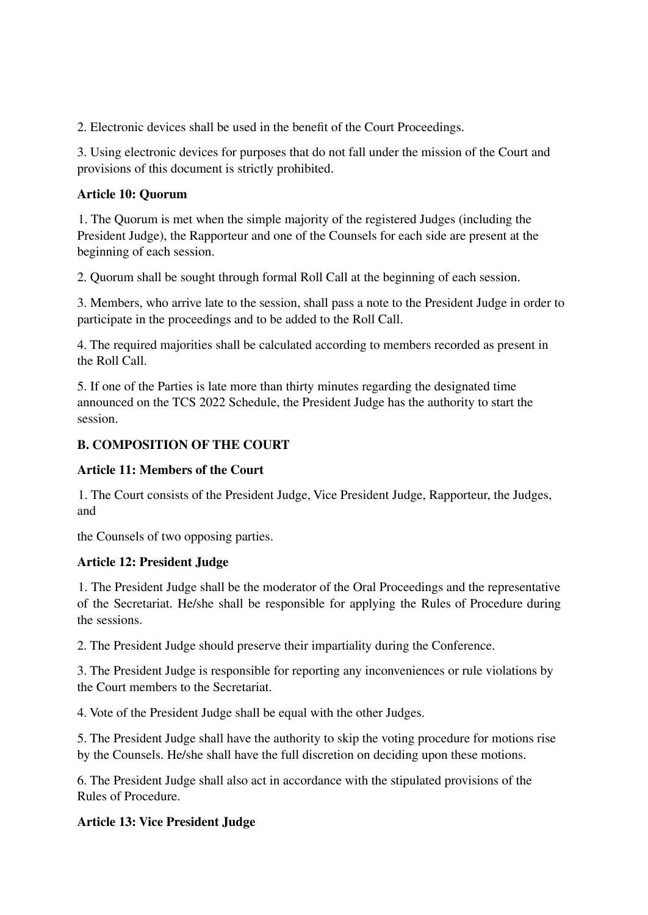2. Electronic devices shall be used in the benefit of the Court Proceedings.

3. Using electronic devices for purposes that do not fall under the mission of the Court and provisions of this document is strictly prohibited.

## **Article 10: Quorum**

1. The Quorum is met when the simple majority of the registered Judges (including the President Judge), the Rapporteur and one of the Counsels for each side are present at the beginning of each session.

2. Quorum shall be sought through formal Roll Call at the beginning of each session.

3. Members, who arrive late to the session, shall pass a note to the President Judge in order to participate in the proceedings and to be added to the Roll Call.

4. The required majorities shall be calculated according to members recorded as present in the Roll Call.

5. If one of the Parties is late more than thirty minutes regarding the designated time announced on the TCS 2022 Schedule, the President Judge has the authority to start the session.

# **B. COMPOSITION OF THE COURT**

# **Article 11: Members of the Court**

1. The Court consists of the President Judge, Vice President Judge, Rapporteur, the Judges, and

the Counsels of two opposing parties.

# **Article 12: President Judge**

1. The President Judge shall be the moderator of the Oral Proceedings and the representative of the Secretariat. He/she shall be responsible for applying the Rules of Procedure during the sessions.

2. The President Judge should preserve their impartiality during the Conference.

3. The President Judge is responsible for reporting any inconveniences or rule violations by the Court members to the Secretariat.

4. Vote of the President Judge shall be equal with the other Judges.

5. The President Judge shall have the authority to skip the voting procedure for motions rise by the Counsels. He/she shall have the full discretion on deciding upon these motions.

6. The President Judge shall also act in accordance with the stipulated provisions of the Rules of Procedure.

# **Article 13: Vice President Judge**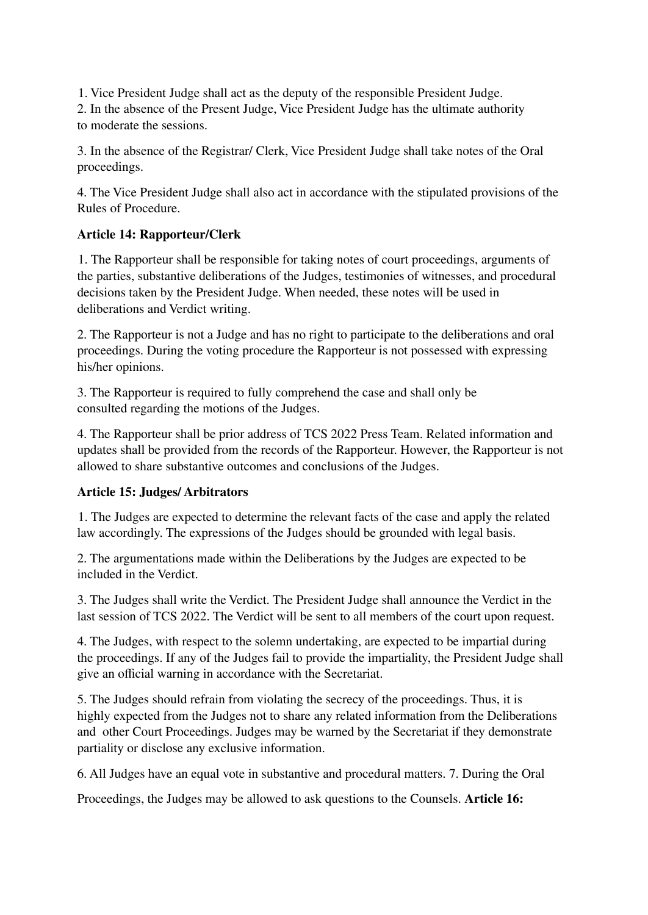1. Vice President Judge shall act as the deputy of the responsible President Judge.

2. In the absence of the Present Judge, Vice President Judge has the ultimate authority to moderate the sessions.

3. In the absence of the Registrar/ Clerk, Vice President Judge shall take notes of the Oral proceedings.

4. The Vice President Judge shall also act in accordance with the stipulated provisions of the Rules of Procedure.

## **Article 14: Rapporteur/Clerk**

1. The Rapporteur shall be responsible for taking notes of court proceedings, arguments of the parties, substantive deliberations of the Judges, testimonies of witnesses, and procedural decisions taken by the President Judge. When needed, these notes will be used in deliberations and Verdict writing.

2. The Rapporteur is not a Judge and has no right to participate to the deliberations and oral proceedings. During the voting procedure the Rapporteur is not possessed with expressing his/her opinions.

3. The Rapporteur is required to fully comprehend the case and shall only be consulted regarding the motions of the Judges.

4. The Rapporteur shall be prior address of TCS 2022 Press Team. Related information and updates shall be provided from the records of the Rapporteur. However, the Rapporteur is not allowed to share substantive outcomes and conclusions of the Judges.

## **Article 15: Judges/ Arbitrators**

1. The Judges are expected to determine the relevant facts of the case and apply the related law accordingly. The expressions of the Judges should be grounded with legal basis.

2. The argumentations made within the Deliberations by the Judges are expected to be included in the Verdict.

3. The Judges shall write the Verdict. The President Judge shall announce the Verdict in the last session of TCS 2022. The Verdict will be sent to all members of the court upon request.

4. The Judges, with respect to the solemn undertaking, are expected to be impartial during the proceedings. If any of the Judges fail to provide the impartiality, the President Judge shall give an official warning in accordance with the Secretariat.

5. The Judges should refrain from violating the secrecy of the proceedings. Thus, it is highly expected from the Judges not to share any related information from the Deliberations and other Court Proceedings. Judges may be warned by the Secretariat if they demonstrate partiality or disclose any exclusive information.

6. All Judges have an equal vote in substantive and procedural matters. 7. During the Oral

Proceedings, the Judges may be allowed to ask questions to the Counsels. **Article 16:**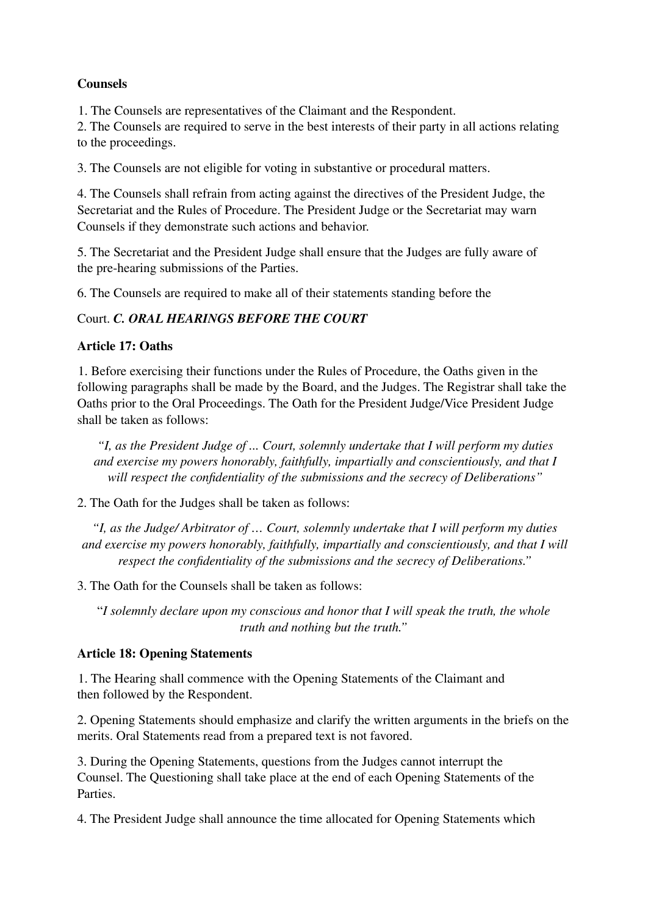## **Counsels**

1. The Counsels are representatives of the Claimant and the Respondent.

2. The Counsels are required to serve in the best interests of their party in all actions relating to the proceedings.

3. The Counsels are not eligible for voting in substantive or procedural matters.

4. The Counsels shall refrain from acting against the directives of the President Judge, the Secretariat and the Rules of Procedure. The President Judge or the Secretariat may warn Counsels if they demonstrate such actions and behavior.

5. The Secretariat and the President Judge shall ensure that the Judges are fully aware of the pre-hearing submissions of the Parties.

6. The Counsels are required to make all of their statements standing before the

# Court. *C. ORAL HEARINGS BEFORE THE COURT*

## **Article 17: Oaths**

1. Before exercising their functions under the Rules of Procedure, the Oaths given in the following paragraphs shall be made by the Board, and the Judges. The Registrar shall take the Oaths prior to the Oral Proceedings. The Oath for the President Judge/Vice President Judge shall be taken as follows:

*"I, as the President Judge of ... Court, solemnly undertake that I will perform my duties and exercise my powers honorably, faithfully, impartially and conscientiously, and that I will respect the confidentiality of the submissions and the secrecy of Deliberations"*

2. The Oath for the Judges shall be taken as follows:

*"I, as the Judge/ Arbitrator of … Court, solemnly undertake that I will perform my duties and exercise my powers honorably, faithfully, impartially and conscientiously, and that I will respect the confidentiality of the submissions and the secrecy of Deliberations."*

3. The Oath for the Counsels shall be taken as follows:

"*I solemnly declare upon my conscious and honor that I will speak the truth, the whole truth and nothing but the truth."*

# **Article 18: Opening Statements**

1. The Hearing shall commence with the Opening Statements of the Claimant and then followed by the Respondent.

2. Opening Statements should emphasize and clarify the written arguments in the briefs on the merits. Oral Statements read from a prepared text is not favored.

3. During the Opening Statements, questions from the Judges cannot interrupt the Counsel. The Questioning shall take place at the end of each Opening Statements of the **Parties** 

4. The President Judge shall announce the time allocated for Opening Statements which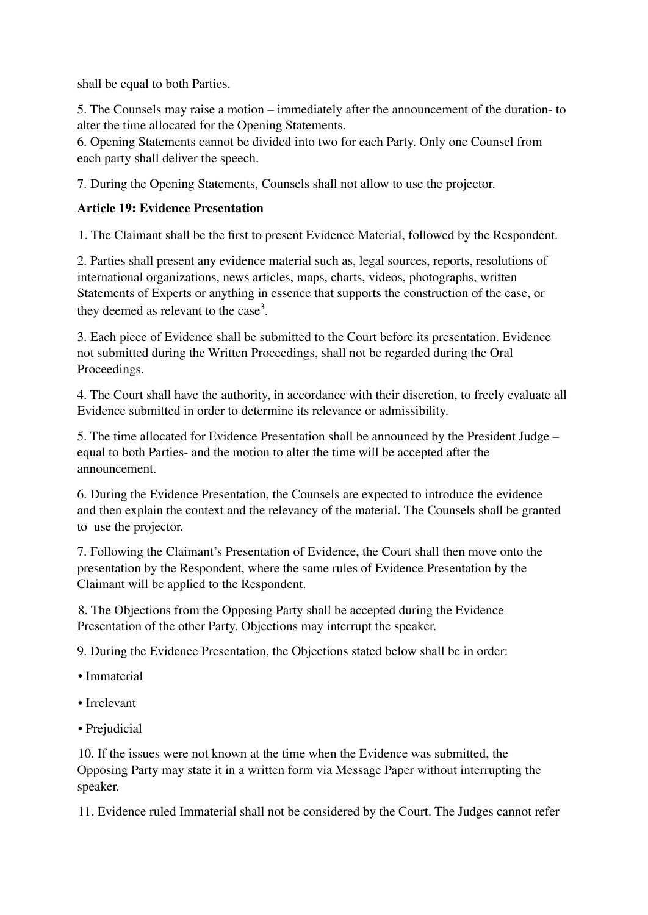shall be equal to both Parties.

5. The Counsels may raise a motion – immediately after the announcement of the duration- to alter the time allocated for the Opening Statements.

6. Opening Statements cannot be divided into two for each Party. Only one Counsel from each party shall deliver the speech.

7. During the Opening Statements, Counsels shall not allow to use the projector.

## **Article 19: Evidence Presentation**

1. The Claimant shall be the first to present Evidence Material, followed by the Respondent.

2. Parties shall present any evidence material such as, legal sources, reports, resolutions of international organizations, news articles, maps, charts, videos, photographs, written Statements of Experts or anything in essence that supports the construction of the case, or they deemed as relevant to the case<sup>3</sup>.

3. Each piece of Evidence shall be submitted to the Court before its presentation. Evidence not submitted during the Written Proceedings, shall not be regarded during the Oral Proceedings.

4. The Court shall have the authority, in accordance with their discretion, to freely evaluate all Evidence submitted in order to determine its relevance or admissibility.

5. The time allocated for Evidence Presentation shall be announced by the President Judge – equal to both Parties- and the motion to alter the time will be accepted after the announcement.

6. During the Evidence Presentation, the Counsels are expected to introduce the evidence and then explain the context and the relevancy of the material. The Counsels shall be granted to use the projector.

7. Following the Claimant's Presentation of Evidence, the Court shall then move onto the presentation by the Respondent, where the same rules of Evidence Presentation by the Claimant will be applied to the Respondent.

8. The Objections from the Opposing Party shall be accepted during the Evidence Presentation of the other Party. Objections may interrupt the speaker.

9. During the Evidence Presentation, the Objections stated below shall be in order:

- Immaterial
- Irrelevant
- Prejudicial

10. If the issues were not known at the time when the Evidence was submitted, the Opposing Party may state it in a written form via Message Paper without interrupting the speaker.

11. Evidence ruled Immaterial shall not be considered by the Court. The Judges cannot refer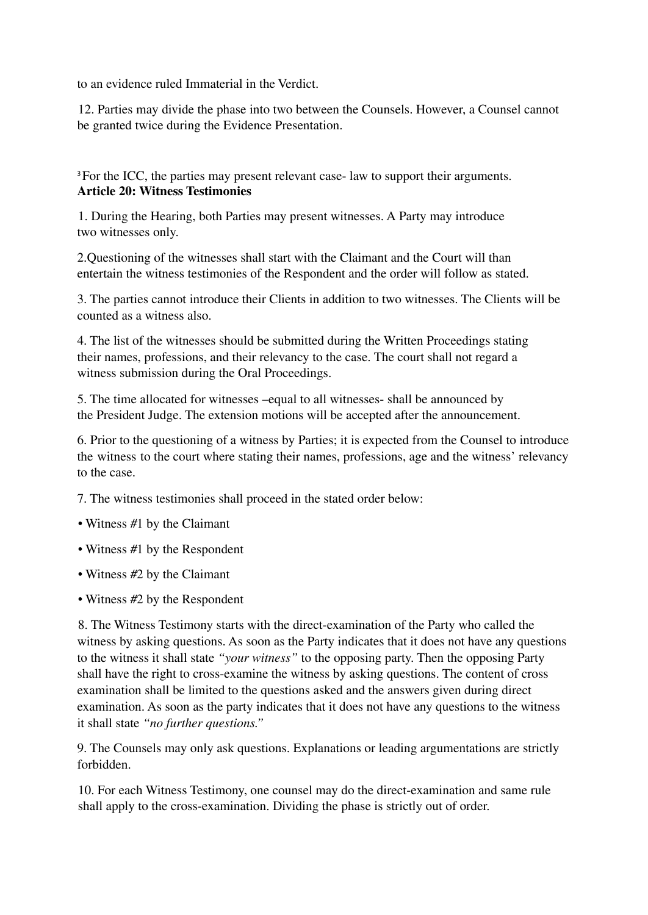to an evidence ruled Immaterial in the Verdict.

12. Parties may divide the phase into two between the Counsels. However, a Counsel cannot be granted twice during the Evidence Presentation.

<sup>3</sup>For the ICC, the parties may present relevant case- law to support their arguments. **Article 20: Witness Testimonies**

1. During the Hearing, both Parties may present witnesses. A Party may introduce two witnesses only.

2.Questioning of the witnesses shall start with the Claimant and the Court will than entertain the witness testimonies of the Respondent and the order will follow as stated.

3. The parties cannot introduce their Clients in addition to two witnesses. The Clients will be counted as a witness also.

4. The list of the witnesses should be submitted during the Written Proceedings stating their names, professions, and their relevancy to the case. The court shall not regard a witness submission during the Oral Proceedings.

5. The time allocated for witnesses –equal to all witnesses- shall be announced by the President Judge. The extension motions will be accepted after the announcement.

6. Prior to the questioning of a witness by Parties; it is expected from the Counsel to introduce the witness to the court where stating their names, professions, age and the witness' relevancy to the case.

7. The witness testimonies shall proceed in the stated order below:

- Witness #1 by the Claimant
- Witness #1 by the Respondent
- Witness #2 by the Claimant
- Witness #2 by the Respondent

8. The Witness Testimony starts with the direct-examination of the Party who called the witness by asking questions. As soon as the Party indicates that it does not have any questions to the witness it shall state *"your witness"* to the opposing party. Then the opposing Party shall have the right to cross-examine the witness by asking questions. The content of cross examination shall be limited to the questions asked and the answers given during direct examination. As soon as the party indicates that it does not have any questions to the witness it shall state *"no further questions."*

9. The Counsels may only ask questions. Explanations or leading argumentations are strictly forbidden.

10. For each Witness Testimony, one counsel may do the direct-examination and same rule shall apply to the cross-examination. Dividing the phase is strictly out of order.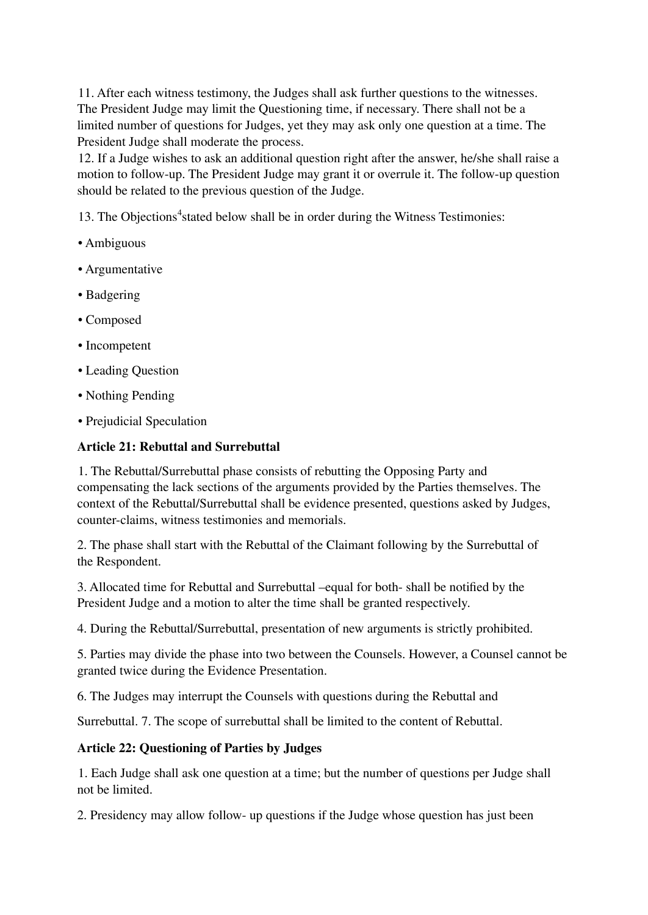11. After each witness testimony, the Judges shall ask further questions to the witnesses. The President Judge may limit the Questioning time, if necessary. There shall not be a limited number of questions for Judges, yet they may ask only one question at a time. The President Judge shall moderate the process.

12. If a Judge wishes to ask an additional question right after the answer, he/she shall raise a motion to follow-up. The President Judge may grant it or overrule it. The follow-up question should be related to the previous question of the Judge.

13. The Objections 4 stated below shall be in order during the Witness Testimonies:

- Ambiguous
- Argumentative
- Badgering
- Composed
- Incompetent
- Leading Question
- Nothing Pending
- Prejudicial Speculation

## **Article 21: Rebuttal and Surrebuttal**

1. The Rebuttal/Surrebuttal phase consists of rebutting the Opposing Party and compensating the lack sections of the arguments provided by the Parties themselves. The context of the Rebuttal/Surrebuttal shall be evidence presented, questions asked by Judges, counter-claims, witness testimonies and memorials.

2. The phase shall start with the Rebuttal of the Claimant following by the Surrebuttal of the Respondent.

3. Allocated time for Rebuttal and Surrebuttal –equal for both- shall be notified by the President Judge and a motion to alter the time shall be granted respectively.

4. During the Rebuttal/Surrebuttal, presentation of new arguments is strictly prohibited.

5. Parties may divide the phase into two between the Counsels. However, a Counsel cannot be granted twice during the Evidence Presentation.

6. The Judges may interrupt the Counsels with questions during the Rebuttal and

Surrebuttal. 7. The scope of surrebuttal shall be limited to the content of Rebuttal.

## **Article 22: Questioning of Parties by Judges**

1. Each Judge shall ask one question at a time; but the number of questions per Judge shall not be limited.

2. Presidency may allow follow- up questions if the Judge whose question has just been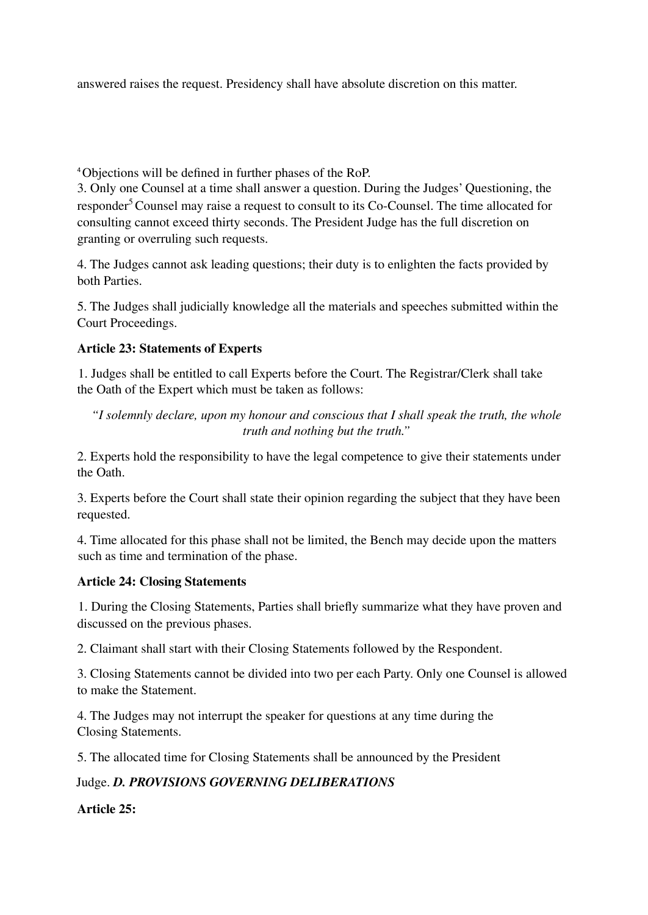answered raises the request. Presidency shall have absolute discretion on this matter.

<sup>4</sup>Objections will be defined in further phases of the RoP.

3. Only one Counsel at a time shall answer a question. During the Judges' Questioning, the responder <sup>5</sup>Counsel may raise a request to consult to its Co-Counsel. The time allocated for consulting cannot exceed thirty seconds. The President Judge has the full discretion on granting or overruling such requests.

4. The Judges cannot ask leading questions; their duty is to enlighten the facts provided by both Parties.

5. The Judges shall judicially knowledge all the materials and speeches submitted within the Court Proceedings.

## **Article 23: Statements of Experts**

1. Judges shall be entitled to call Experts before the Court. The Registrar/Clerk shall take the Oath of the Expert which must be taken as follows:

*"I solemnly declare, upon my honour and conscious that I shall speak the truth, the whole truth and nothing but the truth."*

2. Experts hold the responsibility to have the legal competence to give their statements under the Oath.

3. Experts before the Court shall state their opinion regarding the subject that they have been requested.

4. Time allocated for this phase shall not be limited, the Bench may decide upon the matters such as time and termination of the phase.

## **Article 24: Closing Statements**

1. During the Closing Statements, Parties shall briefly summarize what they have proven and discussed on the previous phases.

2. Claimant shall start with their Closing Statements followed by the Respondent.

3. Closing Statements cannot be divided into two per each Party. Only one Counsel is allowed to make the Statement.

4. The Judges may not interrupt the speaker for questions at any time during the Closing Statements.

5. The allocated time for Closing Statements shall be announced by the President

# Judge. *D. PROVISIONS GOVERNING DELIBERATIONS*

# **Article 25:**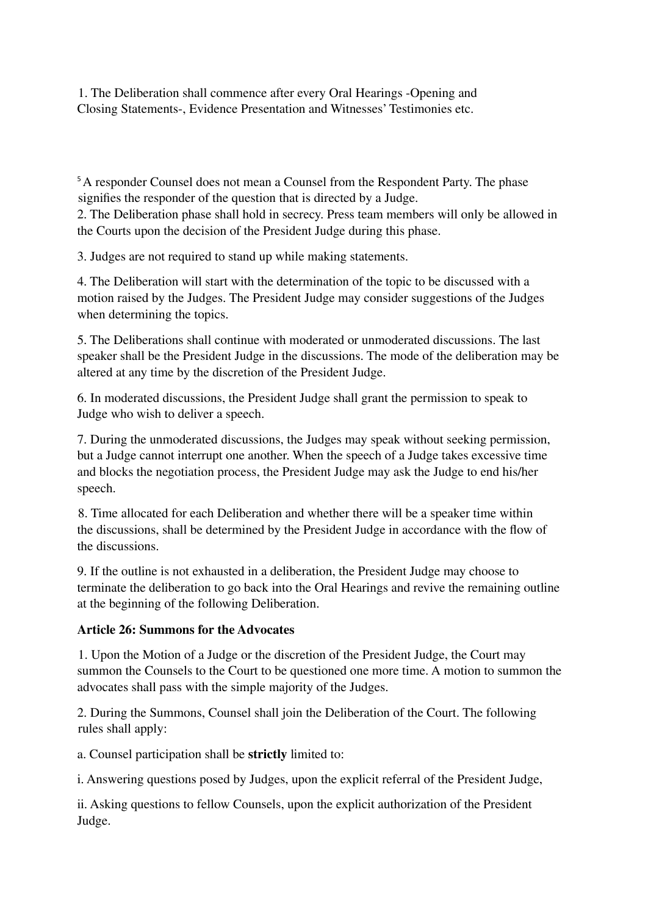1. The Deliberation shall commence after every Oral Hearings -Opening and Closing Statements-, Evidence Presentation and Witnesses' Testimonies etc.

<sup>5</sup>A responder Counsel does not mean a Counsel from the Respondent Party. The phase signifies the responder of the question that is directed by a Judge.

2. The Deliberation phase shall hold in secrecy. Press team members will only be allowed in the Courts upon the decision of the President Judge during this phase.

3. Judges are not required to stand up while making statements.

4. The Deliberation will start with the determination of the topic to be discussed with a motion raised by the Judges. The President Judge may consider suggestions of the Judges when determining the topics.

5. The Deliberations shall continue with moderated or unmoderated discussions. The last speaker shall be the President Judge in the discussions. The mode of the deliberation may be altered at any time by the discretion of the President Judge.

6. In moderated discussions, the President Judge shall grant the permission to speak to Judge who wish to deliver a speech.

7. During the unmoderated discussions, the Judges may speak without seeking permission, but a Judge cannot interrupt one another. When the speech of a Judge takes excessive time and blocks the negotiation process, the President Judge may ask the Judge to end his/her speech.

8. Time allocated for each Deliberation and whether there will be a speaker time within the discussions, shall be determined by the President Judge in accordance with the flow of the discussions.

9. If the outline is not exhausted in a deliberation, the President Judge may choose to terminate the deliberation to go back into the Oral Hearings and revive the remaining outline at the beginning of the following Deliberation.

## **Article 26: Summons for the Advocates**

1. Upon the Motion of a Judge or the discretion of the President Judge, the Court may summon the Counsels to the Court to be questioned one more time. A motion to summon the advocates shall pass with the simple majority of the Judges.

2. During the Summons, Counsel shall join the Deliberation of the Court. The following rules shall apply:

a. Counsel participation shall be **strictly** limited to:

i. Answering questions posed by Judges, upon the explicit referral of the President Judge,

ii. Asking questions to fellow Counsels, upon the explicit authorization of the President Judge.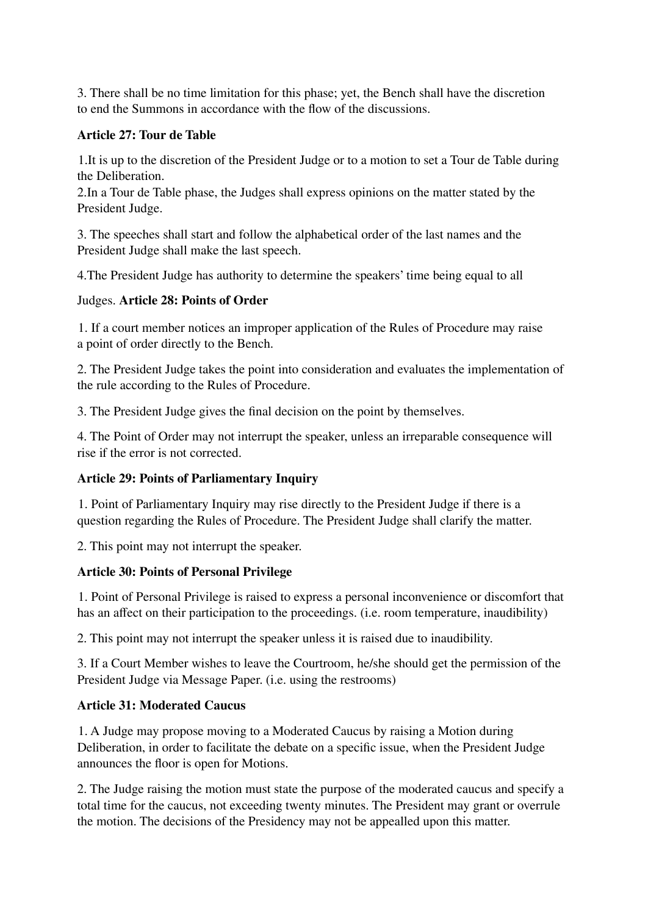3. There shall be no time limitation for this phase; yet, the Bench shall have the discretion to end the Summons in accordance with the flow of the discussions.

## **Article 27: Tour de Table**

1.It is up to the discretion of the President Judge or to a motion to set a Tour de Table during the Deliberation.

2.In a Tour de Table phase, the Judges shall express opinions on the matter stated by the President Judge.

3. The speeches shall start and follow the alphabetical order of the last names and the President Judge shall make the last speech.

4.The President Judge has authority to determine the speakers' time being equal to all

## Judges. **Article 28: Points of Order**

1. If a court member notices an improper application of the Rules of Procedure may raise a point of order directly to the Bench.

2. The President Judge takes the point into consideration and evaluates the implementation of the rule according to the Rules of Procedure.

3. The President Judge gives the final decision on the point by themselves.

4. The Point of Order may not interrupt the speaker, unless an irreparable consequence will rise if the error is not corrected.

# **Article 29: Points of Parliamentary Inquiry**

1. Point of Parliamentary Inquiry may rise directly to the President Judge if there is a question regarding the Rules of Procedure. The President Judge shall clarify the matter.

2. This point may not interrupt the speaker.

# **Article 30: Points of Personal Privilege**

1. Point of Personal Privilege is raised to express a personal inconvenience or discomfort that has an affect on their participation to the proceedings. (i.e. room temperature, inaudibility)

2. This point may not interrupt the speaker unless it is raised due to inaudibility.

3. If a Court Member wishes to leave the Courtroom, he/she should get the permission of the President Judge via Message Paper. (i.e. using the restrooms)

# **Article 31: Moderated Caucus**

1. A Judge may propose moving to a Moderated Caucus by raising a Motion during Deliberation, in order to facilitate the debate on a specific issue, when the President Judge announces the floor is open for Motions.

2. The Judge raising the motion must state the purpose of the moderated caucus and specify a total time for the caucus, not exceeding twenty minutes. The President may grant or overrule the motion. The decisions of the Presidency may not be appealled upon this matter.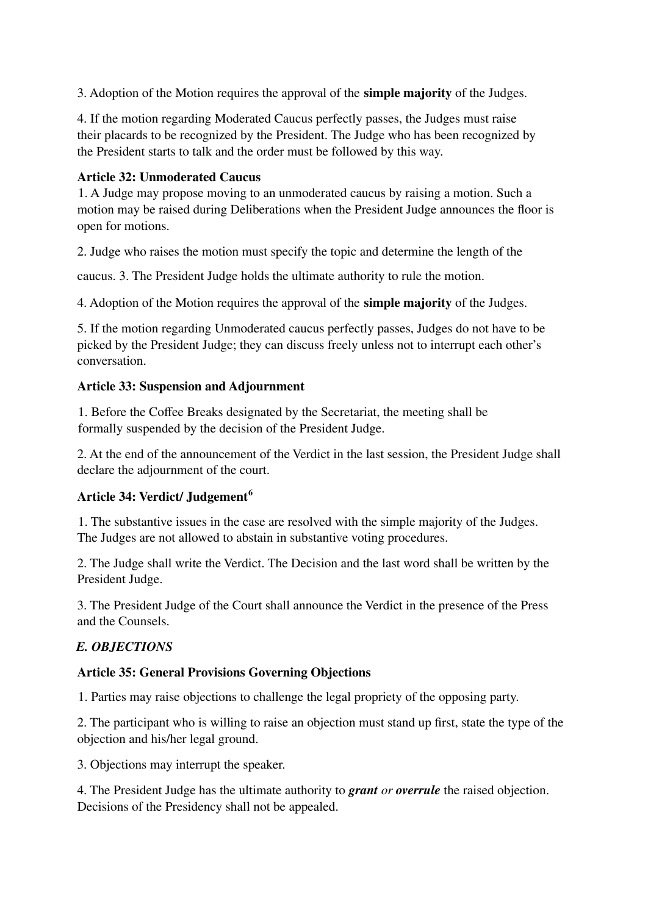3. Adoption of the Motion requires the approval of the **simple majority** of the Judges.

4. If the motion regarding Moderated Caucus perfectly passes, the Judges must raise their placards to be recognized by the President. The Judge who has been recognized by the President starts to talk and the order must be followed by this way.

## **Article 32: Unmoderated Caucus**

1. A Judge may propose moving to an unmoderated caucus by raising a motion. Such a motion may be raised during Deliberations when the President Judge announces the floor is open for motions.

2. Judge who raises the motion must specify the topic and determine the length of the

caucus. 3. The President Judge holds the ultimate authority to rule the motion.

4. Adoption of the Motion requires the approval of the **simple majority** of the Judges.

5. If the motion regarding Unmoderated caucus perfectly passes, Judges do not have to be picked by the President Judge; they can discuss freely unless not to interrupt each other's conversation.

## **Article 33: Suspension and Adjournment**

1. Before the Coffee Breaks designated by the Secretariat, the meeting shall be formally suspended by the decision of the President Judge.

2. At the end of the announcement of the Verdict in the last session, the President Judge shall declare the adjournment of the court.

# **Article 34: Verdict/ Judgement 6**

1. The substantive issues in the case are resolved with the simple majority of the Judges. The Judges are not allowed to abstain in substantive voting procedures.

2. The Judge shall write the Verdict. The Decision and the last word shall be written by the President Judge.

3. The President Judge of the Court shall announce the Verdict in the presence of the Press and the Counsels.

# *E. OBJECTIONS*

## **Article 35: General Provisions Governing Objections**

1. Parties may raise objections to challenge the legal propriety of the opposing party.

2. The participant who is willing to raise an objection must stand up first, state the type of the objection and his/her legal ground.

3. Objections may interrupt the speaker.

4. The President Judge has the ultimate authority to *grant or overrule* the raised objection. Decisions of the Presidency shall not be appealed.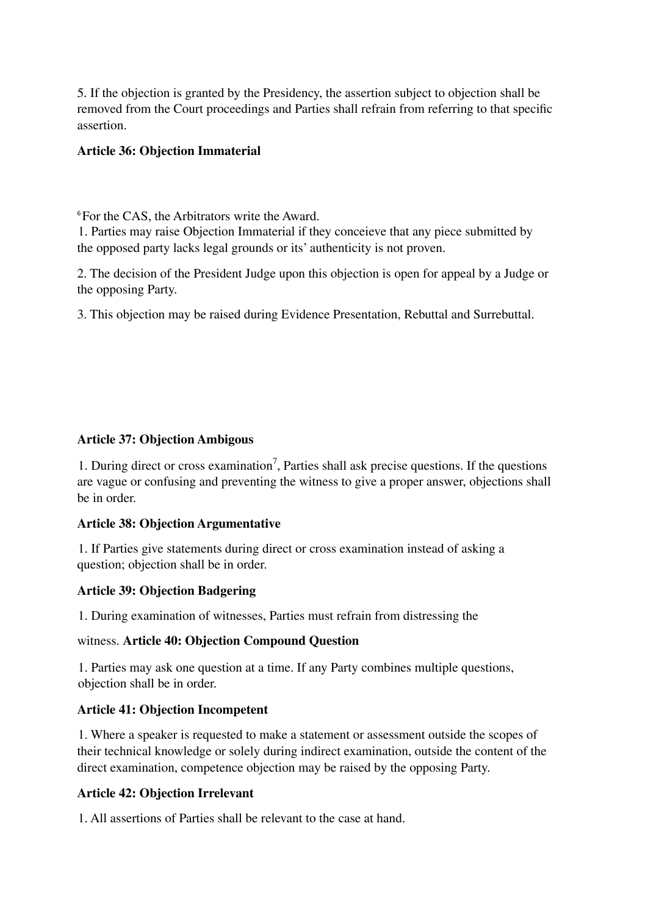5. If the objection is granted by the Presidency, the assertion subject to objection shall be removed from the Court proceedings and Parties shall refrain from referring to that specific assertion.

## **Article 36: Objection Immaterial**

<sup>6</sup>For the CAS, the Arbitrators write the Award.

1. Parties may raise Objection Immaterial if they conceieve that any piece submitted by the opposed party lacks legal grounds or its' authenticity is not proven.

2. The decision of the President Judge upon this objection is open for appeal by a Judge or the opposing Party.

3. This objection may be raised during Evidence Presentation, Rebuttal and Surrebuttal.

#### **Article 37: Objection Ambigous**

1. During direct or cross examination 7 , Parties shall ask precise questions. If the questions are vague or confusing and preventing the witness to give a proper answer, objections shall be in order.

#### **Article 38: Objection Argumentative**

1. If Parties give statements during direct or cross examination instead of asking a question; objection shall be in order.

#### **Article 39: Objection Badgering**

1. During examination of witnesses, Parties must refrain from distressing the

#### witness. **Article 40: Objection Compound Question**

1. Parties may ask one question at a time. If any Party combines multiple questions, objection shall be in order.

## **Article 41: Objection Incompetent**

1. Where a speaker is requested to make a statement or assessment outside the scopes of their technical knowledge or solely during indirect examination, outside the content of the direct examination, competence objection may be raised by the opposing Party.

## **Article 42: Objection Irrelevant**

1. All assertions of Parties shall be relevant to the case at hand.